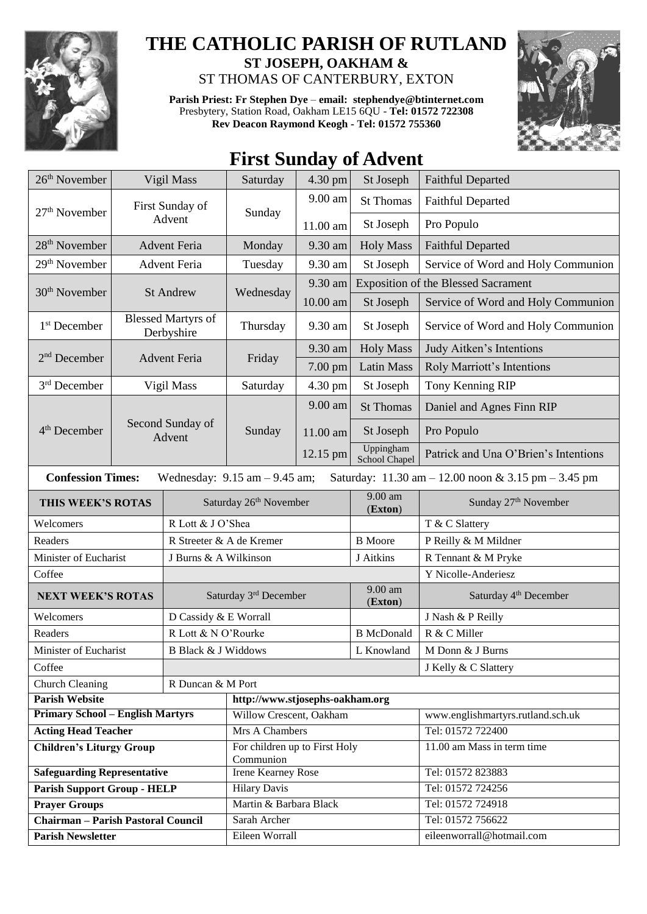

## **THE CATHOLIC PARISH OF RUTLAND ST JOSEPH, OAKHAM &**  ST THOMAS OF CANTERBURY, EXTON

**Parish Priest: Fr Stephen Dye** – **[email: stephendye@btinternet.com](mailto:email:%20%20stephendye@btinternet.com)** Presbytery, Station Road, Oakham LE15 6QU - **Tel: 01572 722308 Rev Deacon Raymond Keogh - Tel: 01572 755360**



## **First Sunday of Advent**

| 26 <sup>th</sup> November                                                                                            | Vigil Mass                              |                                | Saturday                                   | 4.30 pm<br>St Joseph |                            | <b>Faithful Departed</b>                   |  |  |  |
|----------------------------------------------------------------------------------------------------------------------|-----------------------------------------|--------------------------------|--------------------------------------------|----------------------|----------------------------|--------------------------------------------|--|--|--|
| $27th$ November                                                                                                      |                                         | First Sunday of                | Sunday                                     | 9.00 am              | <b>St Thomas</b>           | <b>Faithful Departed</b>                   |  |  |  |
|                                                                                                                      | Advent                                  |                                |                                            | 11.00 am             | St Joseph                  | Pro Populo                                 |  |  |  |
| 28 <sup>th</sup> November                                                                                            | <b>Advent Feria</b>                     |                                | Monday                                     | 9.30 am              | <b>Holy Mass</b>           | <b>Faithful Departed</b>                   |  |  |  |
| 29 <sup>th</sup> November                                                                                            | <b>Advent Feria</b>                     |                                | Tuesday                                    | 9.30 am              | St Joseph                  | Service of Word and Holy Communion         |  |  |  |
|                                                                                                                      |                                         |                                |                                            | $9.30$ am            |                            | <b>Exposition of the Blessed Sacrament</b> |  |  |  |
| 30 <sup>th</sup> November                                                                                            |                                         | <b>St Andrew</b>               | Wednesday                                  | 10.00 am             | St Joseph                  | Service of Word and Holy Communion         |  |  |  |
| 1 <sup>st</sup> December                                                                                             | <b>Blessed Martyrs of</b><br>Derbyshire |                                | Thursday                                   | 9.30 am              | St Joseph                  | Service of Word and Holy Communion         |  |  |  |
| $2nd$ December                                                                                                       | <b>Advent Feria</b>                     |                                | Friday                                     | 9.30 am              | <b>Holy Mass</b>           | Judy Aitken's Intentions                   |  |  |  |
|                                                                                                                      |                                         |                                |                                            | 7.00 pm              | <b>Latin Mass</b>          | Roly Marriott's Intentions                 |  |  |  |
| 3 <sup>rd</sup> December                                                                                             | Vigil Mass                              |                                | Saturday                                   | 4.30 pm              | St Joseph                  | Tony Kenning RIP                           |  |  |  |
|                                                                                                                      |                                         | Second Sunday of<br>Advent     | Sunday                                     | 9.00 am              | <b>St Thomas</b>           | Daniel and Agnes Finn RIP                  |  |  |  |
| $4th$ December                                                                                                       |                                         |                                |                                            | 11.00 am             | St Joseph                  | Pro Populo                                 |  |  |  |
|                                                                                                                      |                                         |                                |                                            | 12.15 pm             | Uppingham<br>School Chapel | Patrick and Una O'Brien's Intentions       |  |  |  |
| <b>Confession Times:</b><br>Saturday: 11.30 am - 12.00 noon & 3.15 pm - 3.45 pm<br>Wednesday: $9.15$ am $- 9.45$ am; |                                         |                                |                                            |                      |                            |                                            |  |  |  |
| THIS WEEK'S ROTAS                                                                                                    |                                         | Saturday 26th November         |                                            |                      | 9.00 am<br>(Exton)         | Sunday 27 <sup>th</sup> November           |  |  |  |
| R Lott & J O'Shea<br>Welcomers                                                                                       |                                         |                                |                                            |                      |                            | T & C Slattery                             |  |  |  |
| Readers                                                                                                              |                                         | R Streeter & A de Kremer       |                                            |                      | <b>B</b> Moore             | P Reilly & M Mildner                       |  |  |  |
| Minister of Eucharist                                                                                                |                                         | J Burns & A Wilkinson          |                                            |                      | J Aitkins                  | R Tennant & M Pryke                        |  |  |  |
| Coffee                                                                                                               |                                         |                                |                                            |                      |                            | Y Nicolle-Anderiesz                        |  |  |  |
| <b>NEXT WEEK'S ROTAS</b>                                                                                             |                                         | Saturday 3rd December          |                                            |                      | 9.00 am<br>(Exton)         | Saturday 4 <sup>th</sup> December          |  |  |  |
| Welcomers                                                                                                            |                                         | D Cassidy & E Worrall          |                                            |                      |                            | J Nash & P Reilly                          |  |  |  |
| Readers                                                                                                              |                                         | R Lott & N O'Rourke            |                                            |                      | <b>B</b> McDonald          | R & C Miller                               |  |  |  |
| Minister of Eucharist                                                                                                |                                         | <b>B Black &amp; J Widdows</b> |                                            |                      | L Knowland                 | M Donn & J Burns                           |  |  |  |
| Coffee                                                                                                               |                                         |                                |                                            |                      | J Kelly & C Slattery       |                                            |  |  |  |
| <b>Church Cleaning</b><br>R Duncan & M Port                                                                          |                                         |                                |                                            |                      |                            |                                            |  |  |  |
| <b>Parish Website</b>                                                                                                |                                         |                                | http://www.stjosephs-oakham.org            |                      |                            |                                            |  |  |  |
| <b>Primary School - English Martyrs</b>                                                                              |                                         |                                | Willow Crescent, Oakham                    |                      |                            | www.englishmartyrs.rutland.sch.uk          |  |  |  |
| <b>Acting Head Teacher</b>                                                                                           |                                         |                                | Mrs A Chambers                             |                      |                            | Tel: 01572 722400                          |  |  |  |
| <b>Children's Liturgy Group</b>                                                                                      |                                         |                                | For children up to First Holy<br>Communion |                      |                            | 11.00 am Mass in term time                 |  |  |  |
| <b>Safeguarding Representative</b>                                                                                   |                                         |                                | <b>Irene Kearney Rose</b>                  |                      |                            | Tel: 01572 823883                          |  |  |  |
| <b>Parish Support Group - HELP</b>                                                                                   |                                         |                                | <b>Hilary Davis</b>                        |                      |                            | Tel: 01572 724256                          |  |  |  |
| <b>Prayer Groups</b>                                                                                                 |                                         |                                | Martin & Barbara Black                     |                      |                            | Tel: 01572 724918                          |  |  |  |
| <b>Chairman - Parish Pastoral Council</b>                                                                            |                                         |                                | Sarah Archer                               |                      |                            | Tel: 01572 756622                          |  |  |  |
| <b>Parish Newsletter</b>                                                                                             |                                         |                                | Eileen Worrall                             |                      |                            | eileenworrall@hotmail.com                  |  |  |  |